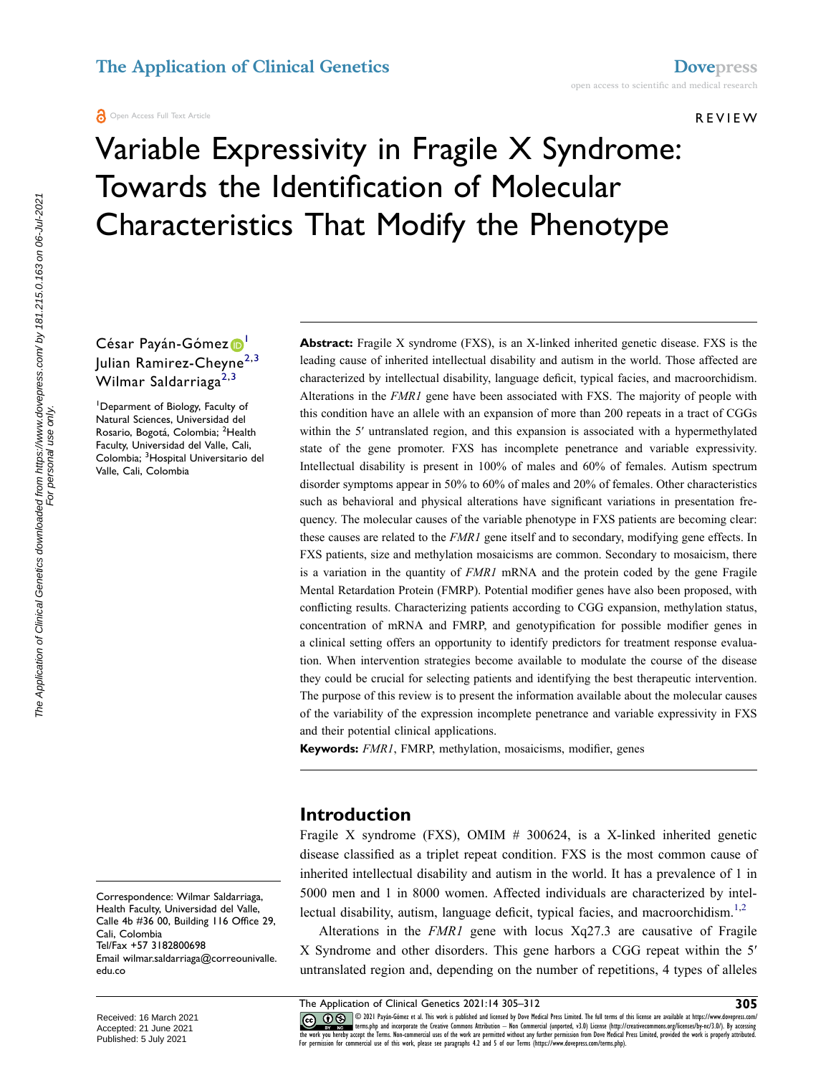#### Open Access Full Text Article

REVIEW

# Variable Expressivity in Fragile X Syndrome: Towards the Identification of Molecular Characteristics That Modify the Phenotype

César Payán-Gómez<sup>[1](#page-0-0)</sup> Julian Ramirez-Cheyne<sup>[2,](#page-0-1)3</sup> Wilmar Saldarriaga<sup>[2,](#page-0-1)[3](#page-0-2)</sup>

<span id="page-0-2"></span><span id="page-0-1"></span><span id="page-0-0"></span>1 Deparment of Biology, Faculty of Natural Sciences, Universidad del Rosario, Bogotá, Colombia; <sup>2</sup>Health Faculty, Universidad del Valle, Cali, Colombia; <sup>3</sup>Hospital Universitario del Valle, Cali, Colombia

**Abstract:** Fragile X syndrome (FXS), is an X-linked inherited genetic disease. FXS is the leading cause of inherited intellectual disability and autism in the world. Those affected are characterized by intellectual disability, language deficit, typical facies, and macroorchidism. Alterations in the *FMR1* gene have been associated with FXS. The majority of people with this condition have an allele with an expansion of more than 200 repeats in a tract of CGGs within the 5' untranslated region, and this expansion is associated with a hypermethylated state of the gene promoter. FXS has incomplete penetrance and variable expressivity. Intellectual disability is present in 100% of males and 60% of females. Autism spectrum disorder symptoms appear in 50% to 60% of males and 20% of females. Other characteristics such as behavioral and physical alterations have significant variations in presentation frequency. The molecular causes of the variable phenotype in FXS patients are becoming clear: these causes are related to the *FMR1* gene itself and to secondary, modifying gene effects. In FXS patients, size and methylation mosaicisms are common. Secondary to mosaicism, there is a variation in the quantity of *FMR1* mRNA and the protein coded by the gene Fragile Mental Retardation Protein (FMRP). Potential modifier genes have also been proposed, with conflicting results. Characterizing patients according to CGG expansion, methylation status, concentration of mRNA and FMRP, and genotypification for possible modifier genes in a clinical setting offers an opportunity to identify predictors for treatment response evaluation. When intervention strategies become available to modulate the course of the disease they could be crucial for selecting patients and identifying the best therapeutic intervention. The purpose of this review is to present the information available about the molecular causes of the variability of the expression incomplete penetrance and variable expressivity in FXS and their potential clinical applications.

**Keywords:** *FMR1*, FMRP, methylation, mosaicisms, modifier, genes

#### **Introduction**

Fragile X syndrome (FXS), OMIM # 300624, is a X-linked inherited genetic disease classified as a triplet repeat condition. FXS is the most common cause of inherited intellectual disability and autism in the world. It has a prevalence of 1 in 5000 men and 1 in 8000 women. Affected individuals are characterized by intel-lectual disability, autism, language deficit, typical facies, and macroorchidism.<sup>[1](#page-5-0)[,2](#page-5-1)</sup>

<span id="page-0-3"></span>Alterations in the *FMR1* gene with locus Xq27.3 are causative of Fragile X Syndrome and other disorders. This gene harbors a CGG repeat within the 5ʹ untranslated region and, depending on the number of repetitions, 4 types of alleles

CODI Payán-Gómez et al. This work is published and licensed by Dove Medical Press Limited. The full terms of this license are available at https://www.dovepress.com/<br>The work you hereby accept the Irror postage in Construc For permission for commercial use of this work, please see paragraphs 4.2 and 5 of our Terms (https://www.dovepress.com/terms.php).

Correspondence: Wilmar Saldarriaga, Health Faculty, Universidad del Valle, Calle 4b #36 00, Building 116 Office 29, Cali, Colombia Tel/Fax +57 3182800698 Email [wilmar.saldarriaga@correounivalle.](mailto:wilmar.saldarriaga@correounivalle.edu.co) [edu.co](mailto:wilmar.saldarriaga@correounivalle.edu.co)

The Application of Clinical Genetics 2021:14 305–312 **305**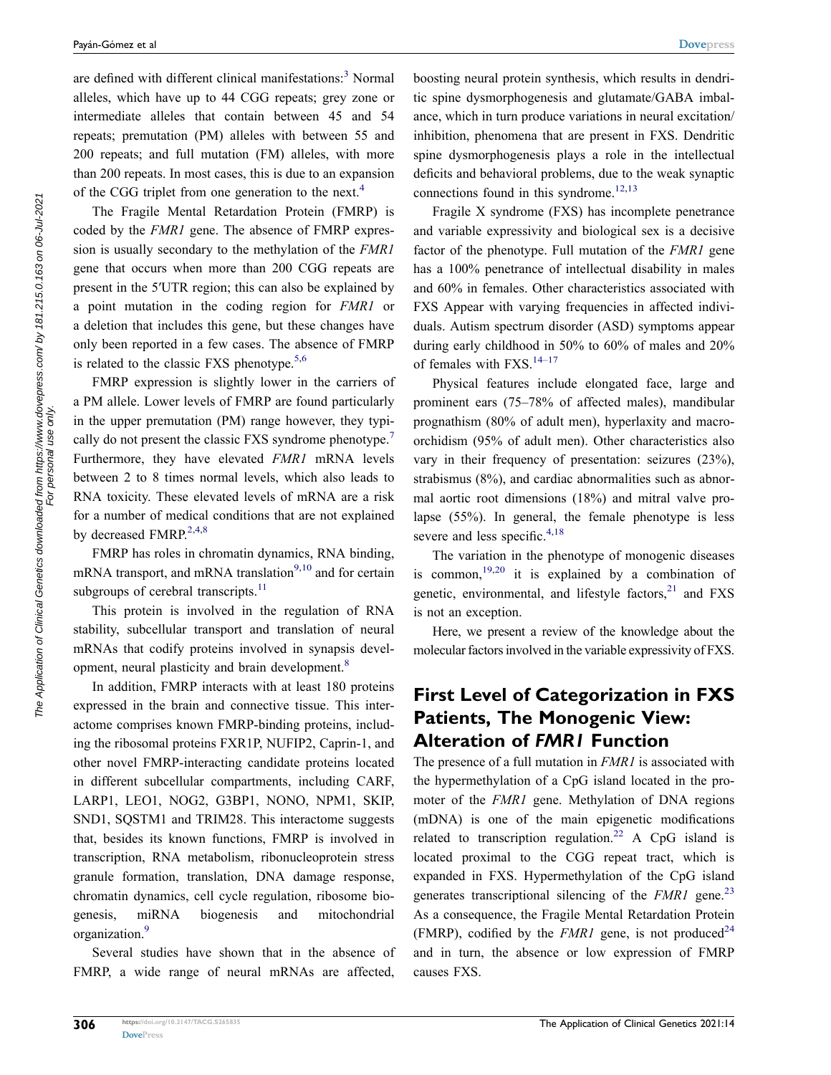<span id="page-1-0"></span>are defined with different clinical manifestations:<sup>3</sup> Normal alleles, which have up to 44 CGG repeats; grey zone or intermediate alleles that contain between 45 and 54 repeats; premutation (PM) alleles with between 55 and 200 repeats; and full mutation (FM) alleles, with more than 200 repeats. In most cases, this is due to an expansion of the CGG triplet from one generation to the next.<sup>[4](#page-5-3)</sup>

The Fragile Mental Retardation Protein (FMRP) is coded by the *FMR1* gene. The absence of FMRP expression is usually secondary to the methylation of the *FMR1*  gene that occurs when more than 200 CGG repeats are present in the 5ʹUTR region; this can also be explained by a point mutation in the coding region for *FMR1* or a deletion that includes this gene, but these changes have only been reported in a few cases. The absence of FMRP is related to the classic FXS phenotype.<sup>[5,](#page-5-4)[6](#page-5-5)</sup>

<span id="page-1-3"></span><span id="page-1-2"></span>FMRP expression is slightly lower in the carriers of a PM allele. Lower levels of FMRP are found particularly in the upper premutation (PM) range however, they typically do not present the classic FXS syndrome phenotype.<sup>7</sup> Furthermore, they have elevated *FMR1* mRNA levels between 2 to 8 times normal levels, which also leads to RNA toxicity. These elevated levels of mRNA are a risk for a number of medical conditions that are not explained by decreased FMRP. $^{2,4,8}$  $^{2,4,8}$  $^{2,4,8}$  $^{2,4,8}$ 

<span id="page-1-6"></span>FMRP has roles in chromatin dynamics, RNA binding, mRNA transport, and mRNA translation<sup>[9](#page-5-8),10</sup> and for certain subgroups of cerebral transcripts. $11$ 

<span id="page-1-7"></span>This protein is involved in the regulation of RNA stability, subcellular transport and translation of neural mRNAs that codify proteins involved in synapsis devel-opment, neural plasticity and brain development.<sup>[8](#page-5-7)</sup>

<span id="page-1-4"></span>In addition, FMRP interacts with at least 180 proteins expressed in the brain and connective tissue. This interactome comprises known FMRP-binding proteins, including the ribosomal proteins FXR1P, NUFIP2, Caprin-1, and other novel FMRP-interacting candidate proteins located in different subcellular compartments, including CARF, LARP1, LEO1, NOG2, G3BP1, NONO, NPM1, SKIP, SND1, SQSTM1 and TRIM28. This interactome suggests that, besides its known functions, FMRP is involved in transcription, RNA metabolism, ribonucleoprotein stress granule formation, translation, DNA damage response, chromatin dynamics, cell cycle regulation, ribosome biogenesis, miRNA biogenesis and mitochondrial organization.<sup>9</sup>

<span id="page-1-5"></span>Several studies have shown that in the absence of FMRP, a wide range of neural mRNAs are affected, boosting neural protein synthesis, which results in dendritic spine dysmorphogenesis and glutamate/GABA imbalance, which in turn produce variations in neural excitation/ inhibition, phenomena that are present in FXS. Dendritic spine dysmorphogenesis plays a role in the intellectual deficits and behavioral problems, due to the weak synaptic connections found in this syndrome. $12,13$  $12,13$ 

<span id="page-1-8"></span>Fragile X syndrome (FXS) has incomplete penetrance and variable expressivity and biological sex is a decisive factor of the phenotype. Full mutation of the *FMR1* gene has a 100% penetrance of intellectual disability in males and 60% in females. Other characteristics associated with FXS Appear with varying frequencies in affected individuals. Autism spectrum disorder (ASD) symptoms appear during early childhood in 50% to 60% of males and 20% of females with  $FXS$ .<sup>[14–17](#page-5-13)</sup>

<span id="page-1-9"></span>Physical features include elongated face, large and prominent ears (75–78% of affected males), mandibular prognathism (80% of adult men), hyperlaxity and macroorchidism (95% of adult men). Other characteristics also vary in their frequency of presentation: seizures (23%), strabismus (8%), and cardiac abnormalities such as abnormal aortic root dimensions (18%) and mitral valve prolapse (55%). In general, the female phenotype is less severe and less specific. $4,18$  $4,18$ 

<span id="page-1-11"></span><span id="page-1-10"></span><span id="page-1-1"></span>The variation in the phenotype of monogenic diseases is common,  $19,20$  $19,20$  it is explained by a combination of genetic, environmental, and lifestyle factors, $21$  and FXS is not an exception.

Here, we present a review of the knowledge about the molecular factors involved in the variable expressivity of FXS.

## **First Level of Categorization in FXS Patients, The Monogenic View: Alteration of** *FMR1* **Function**

<span id="page-1-14"></span><span id="page-1-13"></span><span id="page-1-12"></span>The presence of a full mutation in *FMR1* is associated with the hypermethylation of a CpG island located in the promoter of the *FMR1* gene. Methylation of DNA regions (mDNA) is one of the main epigenetic modifications related to transcription regulation.<sup>22</sup> A CpG island is located proximal to the CGG repeat tract, which is expanded in FXS. Hypermethylation of the CpG island generates transcriptional silencing of the *FMR1* gene.<sup>[23](#page-5-19)</sup> As a consequence, the Fragile Mental Retardation Protein (FMRP), codified by the *FMR1* gene, is not produced<sup>[24](#page-6-0)</sup> and in turn, the absence or low expression of FMRP causes FXS.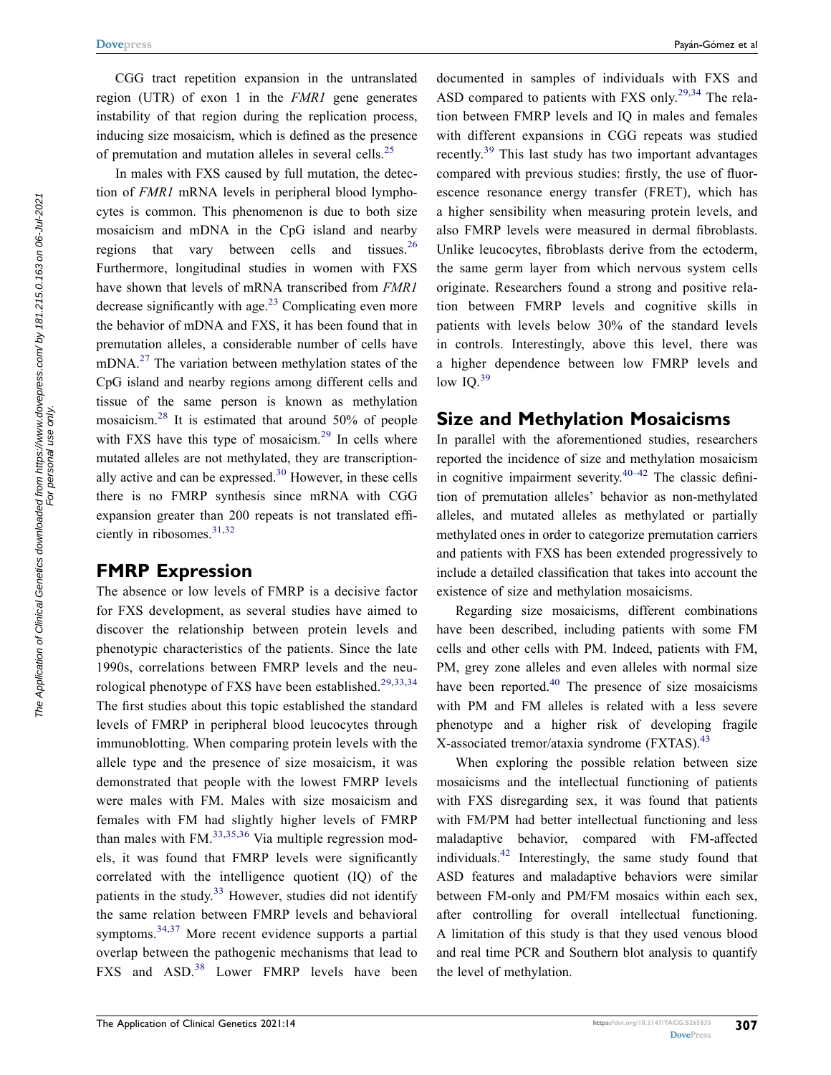CGG tract repetition expansion in the untranslated region (UTR) of exon 1 in the *FMR1* gene generates instability of that region during the replication process, inducing size mosaicism, which is defined as the presence of premutation and mutation alleles in several cells.<sup>25</sup>

<span id="page-2-2"></span><span id="page-2-1"></span><span id="page-2-0"></span>In males with FXS caused by full mutation, the detection of *FMR1* mRNA levels in peripheral blood lymphocytes is common. This phenomenon is due to both size mosaicism and mDNA in the CpG island and nearby regions that vary between cells and tissues. $26$ Furthermore, longitudinal studies in women with FXS have shown that levels of mRNA transcribed from *FMR1*  decrease significantly with age.<sup>[23](#page-5-19)</sup> Complicating even more the behavior of mDNA and FXS, it has been found that in premutation alleles, a considerable number of cells have  $mDNA<sup>27</sup>$  $mDNA<sup>27</sup>$  $mDNA<sup>27</sup>$  The variation between methylation states of the CpG island and nearby regions among different cells and tissue of the same person is known as methylation mosaicism.[28](#page-6-4) It is estimated that around 50% of people with FXS have this type of mosaicism.<sup>[29](#page-6-5)</sup> In cells where mutated alleles are not methylated, they are transcriptionally active and can be expressed. $30$  However, in these cells there is no FMRP synthesis since mRNA with CGG expansion greater than 200 repeats is not translated effi-ciently in ribosomes.<sup>31,[32](#page-6-8)</sup>

## <span id="page-2-6"></span><span id="page-2-5"></span><span id="page-2-3"></span>**FMRP Expression**

<span id="page-2-10"></span><span id="page-2-9"></span><span id="page-2-8"></span><span id="page-2-7"></span>The absence or low levels of FMRP is a decisive factor for FXS development, as several studies have aimed to discover the relationship between protein levels and phenotypic characteristics of the patients. Since the late 1990s, correlations between FMRP levels and the neu-rological phenotype of FXS have been established.<sup>[29](#page-6-5)[,33](#page-6-9),34</sup> The first studies about this topic established the standard levels of FMRP in peripheral blood leucocytes through immunoblotting. When comparing protein levels with the allele type and the presence of size mosaicism, it was demonstrated that people with the lowest FMRP levels were males with FM. Males with size mosaicism and females with FM had slightly higher levels of FMRP than males with  $FM<sub>1</sub><sup>33,35,36</sup>$  $FM<sub>1</sub><sup>33,35,36</sup>$  $FM<sub>1</sub><sup>33,35,36</sup>$  $FM<sub>1</sub><sup>33,35,36</sup>$  Via multiple regression models, it was found that FMRP levels were significantly correlated with the intelligence quotient (IQ) of the patients in the study.[33](#page-6-9) However, studies did not identify the same relation between FMRP levels and behavioral symptoms.<sup>[34](#page-6-10),37</sup> More recent evidence supports a partial overlap between the pathogenic mechanisms that lead to FXS and ASD.<sup>[38](#page-6-14)</sup> Lower FMRP levels have been

<span id="page-2-4"></span>documented in samples of individuals with FXS and ASD compared to patients with FXS only.<sup>[29](#page-6-5)[,34](#page-6-10)</sup> The relation between FMRP levels and IQ in males and females with different expansions in CGG repeats was studied recently.[39](#page-6-15) This last study has two important advantages compared with previous studies: firstly, the use of fluorescence resonance energy transfer (FRET), which has a higher sensibility when measuring protein levels, and also FMRP levels were measured in dermal fibroblasts. Unlike leucocytes, fibroblasts derive from the ectoderm, the same germ layer from which nervous system cells originate. Researchers found a strong and positive relation between FMRP levels and cognitive skills in patients with levels below 30% of the standard levels in controls. Interestingly, above this level, there was a higher dependence between low FMRP levels and low  $IQ.^{39}$  $IQ.^{39}$  $IQ.^{39}$ 

#### <span id="page-2-11"></span>**Size and Methylation Mosaicisms**

In parallel with the aforementioned studies, researchers reported the incidence of size and methylation mosaicism in cognitive impairment severity. $40-42$  The classic definition of premutation alleles' behavior as non-methylated alleles, and mutated alleles as methylated or partially methylated ones in order to categorize premutation carriers and patients with FXS has been extended progressively to include a detailed classification that takes into account the existence of size and methylation mosaicisms.

<span id="page-2-12"></span>Regarding size mosaicisms, different combinations have been described, including patients with some FM cells and other cells with PM. Indeed, patients with FM, PM, grey zone alleles and even alleles with normal size have been reported. $40$  The presence of size mosaicisms with PM and FM alleles is related with a less severe phenotype and a higher risk of developing fragile X-associated tremor/ataxia syndrome (FXTAS).<sup>43</sup>

<span id="page-2-14"></span><span id="page-2-13"></span>When exploring the possible relation between size mosaicisms and the intellectual functioning of patients with FXS disregarding sex, it was found that patients with FM/PM had better intellectual functioning and less maladaptive behavior, compared with FM-affected individuals.[42](#page-6-18) Interestingly, the same study found that ASD features and maladaptive behaviors were similar between FM-only and PM/FM mosaics within each sex, after controlling for overall intellectual functioning. A limitation of this study is that they used venous blood and real time PCR and Southern blot analysis to quantify the level of methylation.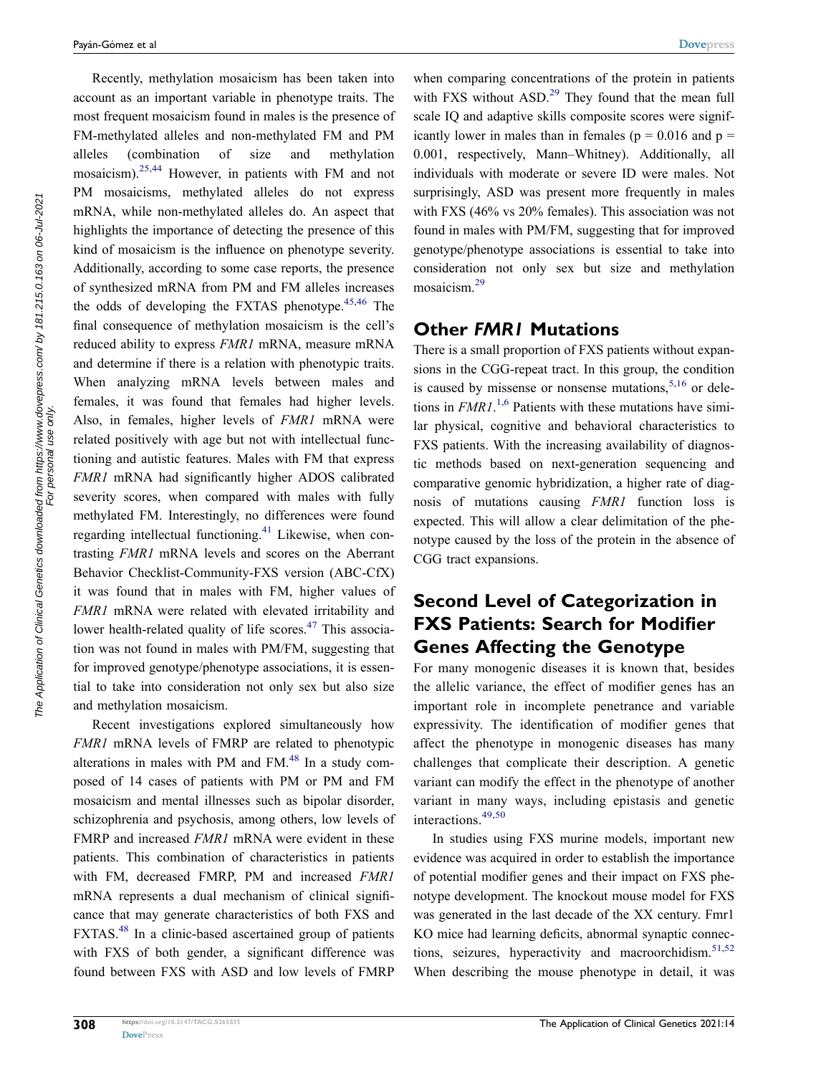Recently, methylation mosaicism has been taken into account as an important variable in phenotype traits. The most frequent mosaicism found in males is the presence of FM-methylated alleles and non-methylated FM and PM alleles (combination of size and methylation mosaicism).[25](#page-6-1),[44](#page-6-19) However, in patients with FM and not PM mosaicisms, methylated alleles do not express mRNA, while non-methylated alleles do. An aspect that highlights the importance of detecting the presence of this kind of mosaicism is the influence on phenotype severity. Additionally, according to some case reports, the presence of synthesized mRNA from PM and FM alleles increases the odds of developing the FXTAS phenotype.<sup>[45](#page-6-20),[46](#page-6-21)</sup> The final consequence of methylation mosaicism is the cell's reduced ability to express *FMR1* mRNA, measure mRNA and determine if there is a relation with phenotypic traits. When analyzing mRNA levels between males and females, it was found that females had higher levels. Also, in females, higher levels of *FMR1* mRNA were related positively with age but not with intellectual functioning and autistic features. Males with FM that express *FMR1* mRNA had significantly higher ADOS calibrated severity scores, when compared with males with fully methylated FM. Interestingly, no differences were found regarding intellectual functioning[.41](#page-6-22) Likewise, when contrasting *FMR1* mRNA levels and scores on the Aberrant Behavior Checklist-Community-FXS version (ABC-CfX) it was found that in males with FM, higher values of *FMR1* mRNA were related with elevated irritability and lower health-related quality of life scores.<sup>47</sup> This association was not found in males with PM/FM, suggesting that for improved genotype/phenotype associations, it is essential to take into consideration not only sex but also size and methylation mosaicism.

<span id="page-3-5"></span><span id="page-3-4"></span><span id="page-3-1"></span>Recent investigations explored simultaneously how *FMR1* mRNA levels of FMRP are related to phenotypic alterations in males with PM and FM $<sup>48</sup>$  In a study com-</sup> posed of 14 cases of patients with PM or PM and FM mosaicism and mental illnesses such as bipolar disorder, schizophrenia and psychosis, among others, low levels of FMRP and increased *FMR1* mRNA were evident in these patients. This combination of characteristics in patients with FM, decreased FMRP, PM and increased *FMR1*  mRNA represents a dual mechanism of clinical significance that may generate characteristics of both FXS and FXTAS.<sup>48</sup> In a clinic-based ascertained group of patients with FXS of both gender, a significant difference was found between FXS with ASD and low levels of FMRP

<span id="page-3-3"></span><span id="page-3-2"></span>The Application of Clinical Genetics downloaded from https://www.dovepress.com/ by 181.215.0.163 on 06-Jul-2021<br>The Application of Clinical Genetics downloaded from https://www.dovepress.com/ by 181.215.0.163 on 06-Jul-202

The Application of Clinical Genetics downloaded from https://www.dovepress.com/ by 181.215.0.163 on 06-Jul-2021<br>For personal use only.

when comparing concentrations of the protein in patients with FXS without ASD.<sup>[29](#page-6-5)</sup> They found that the mean full scale IQ and adaptive skills composite scores were significantly lower in males than in females ( $p = 0.016$  and  $p =$ 0.001, respectively, Mann–Whitney). Additionally, all individuals with moderate or severe ID were males. Not surprisingly, ASD was present more frequently in males with FXS (46% vs 20% females). This association was not found in males with PM/FM, suggesting that for improved genotype/phenotype associations is essential to take into consideration not only sex but size and methylation mosaicism[.29](#page-6-5)

### **Other** *FMR1* **Mutations**

<span id="page-3-0"></span>There is a small proportion of FXS patients without expansions in the CGG-repeat tract. In this group, the condition is caused by missense or nonsense mutations,  $5,16$  $5,16$  or deletions in *FMR1*. [1,](#page-5-0)[6](#page-5-5) Patients with these mutations have similar physical, cognitive and behavioral characteristics to FXS patients. With the increasing availability of diagnostic methods based on next-generation sequencing and comparative genomic hybridization, a higher rate of diagnosis of mutations causing *FMR1* function loss is expected. This will allow a clear delimitation of the phenotype caused by the loss of the protein in the absence of CGG tract expansions.

# **Second Level of Categorization in FXS Patients: Search for Modifier Genes Affecting the Genotype**

For many monogenic diseases it is known that, besides the allelic variance, the effect of modifier genes has an important role in incomplete penetrance and variable expressivity. The identification of modifier genes that affect the phenotype in monogenic diseases has many challenges that complicate their description. A genetic variant can modify the effect in the phenotype of another variant in many ways, including epistasis and genetic interactions.<sup>[49,](#page-6-25)[50](#page-6-26)</sup>

<span id="page-3-7"></span><span id="page-3-6"></span>In studies using FXS murine models, important new evidence was acquired in order to establish the importance of potential modifier genes and their impact on FXS phenotype development. The knockout mouse model for FXS was generated in the last decade of the XX century. Fmr1 KO mice had learning deficits, abnormal synaptic connections, seizures, hyperactivity and macroorchidism. $51,52$  $51,52$  $51,52$ When describing the mouse phenotype in detail, it was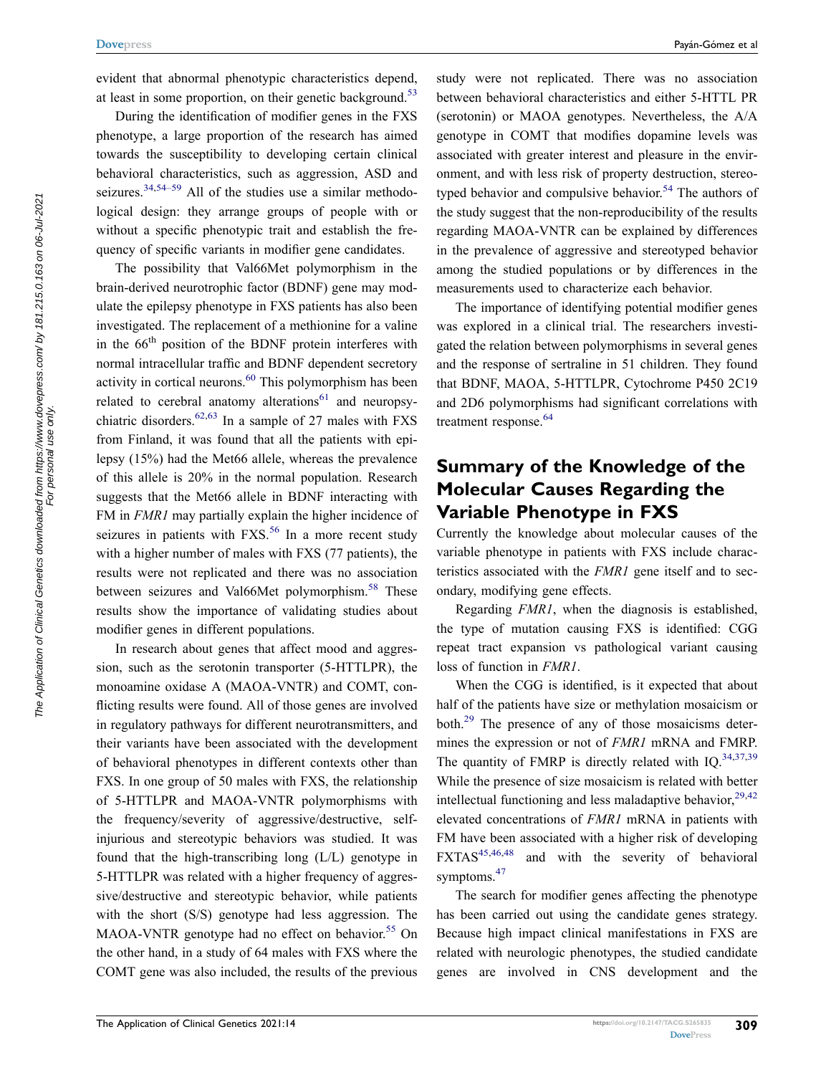<span id="page-4-0"></span>evident that abnormal phenotypic characteristics depend, at least in some proportion, on their genetic background.<sup>53</sup>

During the identification of modifier genes in the FXS phenotype, a large proportion of the research has aimed towards the susceptibility to developing certain clinical behavioral characteristics, such as aggression, ASD and seizures.<sup>[34](#page-6-10),54–59</sup> All of the studies use a similar methodological design: they arrange groups of people with or without a specific phenotypic trait and establish the frequency of specific variants in modifier gene candidates.

<span id="page-4-7"></span><span id="page-4-6"></span><span id="page-4-5"></span>The possibility that Val66Met polymorphism in the brain-derived neurotrophic factor (BDNF) gene may modulate the epilepsy phenotype in FXS patients has also been investigated. The replacement of a methionine for a valine in the 66<sup>th</sup> position of the BDNF protein interferes with normal intracellular traffic and BDNF dependent secretory activity in cortical neurons. $60$  This polymorphism has been related to cerebral anatomy alterations $61$  and neuropsy-chiatric disorders.<sup>[62](#page-7-1),63</sup> In a sample of 27 males with FXS from Finland, it was found that all the patients with epilepsy (15%) had the Met66 allele, whereas the prevalence of this allele is 20% in the normal population. Research suggests that the Met66 allele in BDNF interacting with FM in *FMR1* may partially explain the higher incidence of seizures in patients with  $FXS$ <sup>[56](#page-6-32)</sup> In a more recent study with a higher number of males with FXS (77 patients), the results were not replicated and there was no association between seizures and Val66Met polymorphism.<sup>58</sup> These results show the importance of validating studies about modifier genes in different populations.

<span id="page-4-4"></span><span id="page-4-3"></span><span id="page-4-2"></span>In research about genes that affect mood and aggression, such as the serotonin transporter (5-HTTLPR), the monoamine oxidase A (MAOA-VNTR) and COMT, conflicting results were found. All of those genes are involved in regulatory pathways for different neurotransmitters, and their variants have been associated with the development of behavioral phenotypes in different contexts other than FXS. In one group of 50 males with FXS, the relationship of 5-HTTLPR and MAOA-VNTR polymorphisms with the frequency/severity of aggressive/destructive, selfinjurious and stereotypic behaviors was studied. It was found that the high-transcribing long (L/L) genotype in 5-HTTLPR was related with a higher frequency of aggressive/destructive and stereotypic behavior, while patients with the short (S/S) genotype had less aggression. The MAOA-VNTR genotype had no effect on behavior.<sup>55</sup> On the other hand, in a study of 64 males with FXS where the COMT gene was also included, the results of the previous <span id="page-4-1"></span>study were not replicated. There was no association between behavioral characteristics and either 5-HTTL PR (serotonin) or MAOA genotypes. Nevertheless, the A/A genotype in COMT that modifies dopamine levels was associated with greater interest and pleasure in the environment, and with less risk of property destruction, stereo-typed behavior and compulsive behavior.<sup>[54](#page-6-30)</sup> The authors of the study suggest that the non-reproducibility of the results regarding MAOA-VNTR can be explained by differences in the prevalence of aggressive and stereotyped behavior among the studied populations or by differences in the measurements used to characterize each behavior.

The importance of identifying potential modifier genes was explored in a clinical trial. The researchers investigated the relation between polymorphisms in several genes and the response of sertraline in 51 children. They found that BDNF, MAOA, 5-HTTLPR, Cytochrome P450 2C19 and 2D6 polymorphisms had significant correlations with treatment response.<sup>64</sup>

## <span id="page-4-8"></span>**Summary of the Knowledge of the Molecular Causes Regarding the Variable Phenotype in FXS**

Currently the knowledge about molecular causes of the variable phenotype in patients with FXS include characteristics associated with the *FMR1* gene itself and to secondary, modifying gene effects.

Regarding *FMR1*, when the diagnosis is established, the type of mutation causing FXS is identified: CGG repeat tract expansion vs pathological variant causing loss of function in *FMR1*.

When the CGG is identified, is it expected that about half of the patients have size or methylation mosaicism or both[.29](#page-6-5) The presence of any of those mosaicisms determines the expression or not of *FMR1* mRNA and FMRP. The quantity of FMRP is directly related with IQ. $34,37,39$  $34,37,39$  $34,37,39$  $34,37,39$ While the presence of size mosaicism is related with better intellectual functioning and less maladaptive behavior,  $29,42$  $29,42$  $29,42$ elevated concentrations of *FMR1* mRNA in patients with FM have been associated with a higher risk of developing  $\text{FXTAS}^{45,46,48}$  $\text{FXTAS}^{45,46,48}$  $\text{FXTAS}^{45,46,48}$  $\text{FXTAS}^{45,46,48}$  and with the severity of behavioral symptoms.<sup>47</sup>

The search for modifier genes affecting the phenotype has been carried out using the candidate genes strategy. Because high impact clinical manifestations in FXS are related with neurologic phenotypes, the studied candidate genes are involved in CNS development and the

The Application of Clinical Genetics downloaded from https://www.dovepress.com/ by 181.215.0.163 on 06-Jul-2021<br>The Application of Clinical Genetics downloaded from personal use only.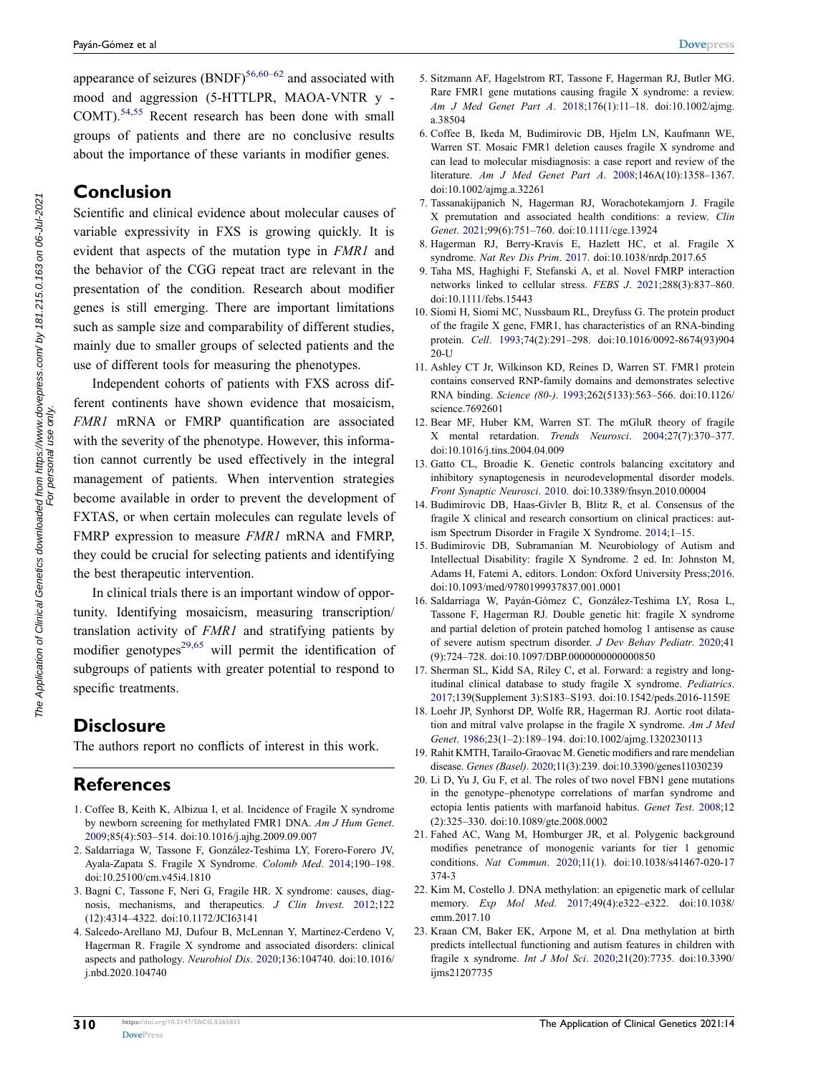appearance of seizures  $(BNDF)^{56,60-62}$  $(BNDF)^{56,60-62}$  $(BNDF)^{56,60-62}$  and associated with mood and aggression (5-HTTLPR, MAOA-VNTR y -COMT).[54](#page-6-30)[,55](#page-6-34) Recent research has been done with small groups of patients and there are no conclusive results about the importance of these variants in modifier genes.

## **Conclusion**

Scientific and clinical evidence about molecular causes of variable expressivity in FXS is growing quickly. It is evident that aspects of the mutation type in *FMR1* and the behavior of the CGG repeat tract are relevant in the presentation of the condition. Research about modifier genes is still emerging. There are important limitations such as sample size and comparability of different studies, mainly due to smaller groups of selected patients and the use of different tools for measuring the phenotypes.

Independent cohorts of patients with FXS across different continents have shown evidence that mosaicism, *FMR1* mRNA or FMRP quantification are associated with the severity of the phenotype. However, this information cannot currently be used effectively in the integral management of patients. When intervention strategies become available in order to prevent the development of FXTAS, or when certain molecules can regulate levels of FMRP expression to measure *FMR1* mRNA and FMRP, they could be crucial for selecting patients and identifying the best therapeutic intervention.

<span id="page-5-21"></span>In clinical trials there is an important window of opportunity. Identifying mosaicism, measuring transcription/ translation activity of *FMR1* and stratifying patients by modifier genotypes<sup>29,[65](#page-7-4)</sup> will permit the identification of subgroups of patients with greater potential to respond to specific treatments.

# **Disclosure**

The authors report no conflicts of interest in this work.

# **References**

- <span id="page-5-0"></span>1. Coffee B, Keith K, Albizua I, et al. Incidence of Fragile X syndrome by newborn screening for methylated FMR1 DNA. *Am J Hum Genet*. [2009;](#page-0-3)85(4):503–514. doi:[10.1016/j.ajhg.2009.09.007](https://doi.org/10.1016/j.ajhg.2009.09.007)
- <span id="page-5-1"></span>2. Saldarriaga W, Tassone F, González-Teshima LY, Forero-Forero JV, Ayala-Zapata S. Fragile X Syndrome. *Colomb Med*. [2014](#page-0-3);190–198. doi:[10.25100/cm.v45i4.1810](https://doi.org/10.25100/cm.v45i4.1810)
- <span id="page-5-2"></span>3. Bagni C, Tassone F, Neri G, Fragile HR. X syndrome: causes, diagnosis, mechanisms, and therapeutics. *J Clin Invest*. [2012](#page-1-0);122 (12):4314–4322. doi:[10.1172/JCI63141](https://doi.org/10.1172/JCI63141)
- <span id="page-5-3"></span>4. Salcedo-Arellano MJ, Dufour B, McLennan Y, Martinez-Cerdeno V, Hagerman R. Fragile X syndrome and associated disorders: clinical aspects and pathology. *Neurobiol Dis*. [2020](#page-1-1);136:104740. doi:[10.1016/](https://doi.org/10.1016/j.nbd.2020.104740)  [j.nbd.2020.104740](https://doi.org/10.1016/j.nbd.2020.104740)
- <span id="page-5-4"></span>5. Sitzmann AF, Hagelstrom RT, Tassone F, Hagerman RJ, Butler MG. Rare FMR1 gene mutations causing fragile X syndrome: a review. *Am J Med Genet Part A*. [2018](#page-1-2);176(1):11–18. doi:[10.1002/ajmg.](https://doi.org/10.1002/ajmg.a.38504) [a.38504](https://doi.org/10.1002/ajmg.a.38504)
- <span id="page-5-5"></span>6. Coffee B, Ikeda M, Budimirovic DB, Hjelm LN, Kaufmann WE, Warren ST. Mosaic FMR1 deletion causes fragile X syndrome and can lead to molecular misdiagnosis: a case report and review of the literature. *Am J Med Genet Part A*. [2008;](#page-1-2)146A(10):1358–1367. doi:[10.1002/ajmg.a.32261](https://doi.org/10.1002/ajmg.a.32261)
- <span id="page-5-6"></span>7. Tassanakijpanich N, Hagerman RJ, Worachotekamjorn J. Fragile X premutation and associated health conditions: a review. *Clin Genet*. [2021](#page-1-3);99(6):751–760. doi:[10.1111/cge.13924](https://doi.org/10.1111/cge.13924)
- <span id="page-5-7"></span>8. Hagerman RJ, Berry-Kravis E, Hazlett HC, et al. Fragile X syndrome. *Nat Rev Dis Prim*. [2017.](#page-1-4) doi:[10.1038/nrdp.2017.65](https://doi.org/10.1038/nrdp.2017.65)
- <span id="page-5-8"></span>9. Taha MS, Haghighi F, Stefanski A, et al. Novel FMRP interaction networks linked to cellular stress. *FEBS J*. [2021;](#page-1-5)288(3):837–860. doi:[10.1111/febs.15443](https://doi.org/10.1111/febs.15443)
- <span id="page-5-9"></span>10. Siomi H, Siomi MC, Nussbaum RL, Dreyfuss G. The protein product of the fragile X gene, FMR1, has characteristics of an RNA-binding protein. *Cell*. [1993;](#page-1-6)74(2):291–298. doi:[10.1016/0092-8674\(93\)904](https://doi.org/10.1016/0092-8674(93)90420-U)  $20-I$
- <span id="page-5-10"></span>11. Ashley CT Jr, Wilkinson KD, Reines D, Warren ST. FMR1 protein contains conserved RNP-family domains and demonstrates selective RNA binding. *Science (80-)*. [1993](#page-1-7);262(5133):563–566. doi:[10.1126/](https://doi.org/10.1126/science.7692601) [science.7692601](https://doi.org/10.1126/science.7692601)
- <span id="page-5-11"></span>12. Bear MF, Huber KM, Warren ST. The mGluR theory of fragile X mental retardation. *Trends Neurosci*. [2004;](#page-1-8)27(7):370–377. doi:[10.1016/j.tins.2004.04.009](https://doi.org/10.1016/j.tins.2004.04.009)
- <span id="page-5-12"></span>13. Gatto CL, Broadie K. Genetic controls balancing excitatory and inhibitory synaptogenesis in neurodevelopmental disorder models. *Front Synaptic Neurosci*. [2010](#page-1-8). doi:[10.3389/fnsyn.2010.00004](https://doi.org/10.3389/fnsyn.2010.00004)
- <span id="page-5-13"></span>14. Budimirovic DB, Haas-Givler B, Blitz R, et al. Consensus of the fragile X clinical and research consortium on clinical practices: autism Spectrum Disorder in Fragile X Syndrome. [2014;](#page-1-9)1–15.
- 15. Budimirovic DB, Subramanian M. Neurobiology of Autism and Intellectual Disability: fragile X Syndrome. 2 ed. In: Johnston M, Adams H, Fatemi A, editors. London: Oxford University Press;2016. doi:[10.1093/med/9780199937837.001.0001](https://doi.org/10.1093/med/9780199937837.001.0001)
- <span id="page-5-20"></span>16. Saldarriaga W, Payán-Gómez C, González-Teshima LY, Rosa L, Tassone F, Hagerman RJ. Double genetic hit: fragile X syndrome and partial deletion of protein patched homolog 1 antisense as cause of severe autism spectrum disorder. *J Dev Behav Pediatr*. [2020](#page-3-0);41 (9):724–728. doi:[10.1097/DBP.0000000000000850](https://doi.org/10.1097/DBP.0000000000000850)
- 17. Sherman SL, Kidd SA, Riley C, et al. Forward: a registry and longitudinal clinical database to study fragile X syndrome. *Pediatrics*. 2017;139(Supplement 3):S183–S193. doi:[10.1542/peds.2016-1159E](https://doi.org/10.1542/peds.2016-1159E)
- <span id="page-5-14"></span>18. Loehr JP, Synhorst DP, Wolfe RR, Hagerman RJ. Aortic root dilatation and mitral valve prolapse in the fragile X syndrome. *Am J Med Genet*. [1986](#page-1-1);23(1–2):189–194. doi:[10.1002/ajmg.1320230113](https://doi.org/10.1002/ajmg.1320230113)
- <span id="page-5-15"></span>19. Rahit KMTH, Tarailo-Graovac M. Genetic modifiers and rare mendelian disease. *Genes (Basel)*. [2020;](#page-1-10)11(3):239. doi:[10.3390/genes11030239](https://doi.org/10.3390/genes11030239)
- <span id="page-5-16"></span>20. Li D, Yu J, Gu F, et al. The roles of two novel FBN1 gene mutations in the genotype–phenotype correlations of marfan syndrome and ectopia lentis patients with marfanoid habitus. *Genet Test*. [2008](#page-1-10);12 (2):325–330. doi:[10.1089/gte.2008.0002](https://doi.org/10.1089/gte.2008.0002)
- <span id="page-5-17"></span>21. Fahed AC, Wang M, Homburger JR, et al. Polygenic background modifies penetrance of monogenic variants for tier 1 genomic conditions. *Nat Commun*. [2020](#page-1-11);11(1). doi:[10.1038/s41467-020-17](https://doi.org/10.1038/s41467-020-17374-3) [374-3](https://doi.org/10.1038/s41467-020-17374-3)
- <span id="page-5-18"></span>22. Kim M, Costello J. DNA methylation: an epigenetic mark of cellular memory. *Exp Mol Med*. [2017](#page-1-12);49(4):e322–e322. doi:[10.1038/](https://doi.org/10.1038/emm.2017.10) [emm.2017.10](https://doi.org/10.1038/emm.2017.10)
- <span id="page-5-19"></span>23. Kraan CM, Baker EK, Arpone M, et al. Dna methylation at birth predicts intellectual functioning and autism features in children with fragile x syndrome. *Int J Mol Sci*. [2020](#page-1-13);21(20):7735. doi:[10.3390/](https://doi.org/10.3390/ijms21207735) [ijms21207735](https://doi.org/10.3390/ijms21207735)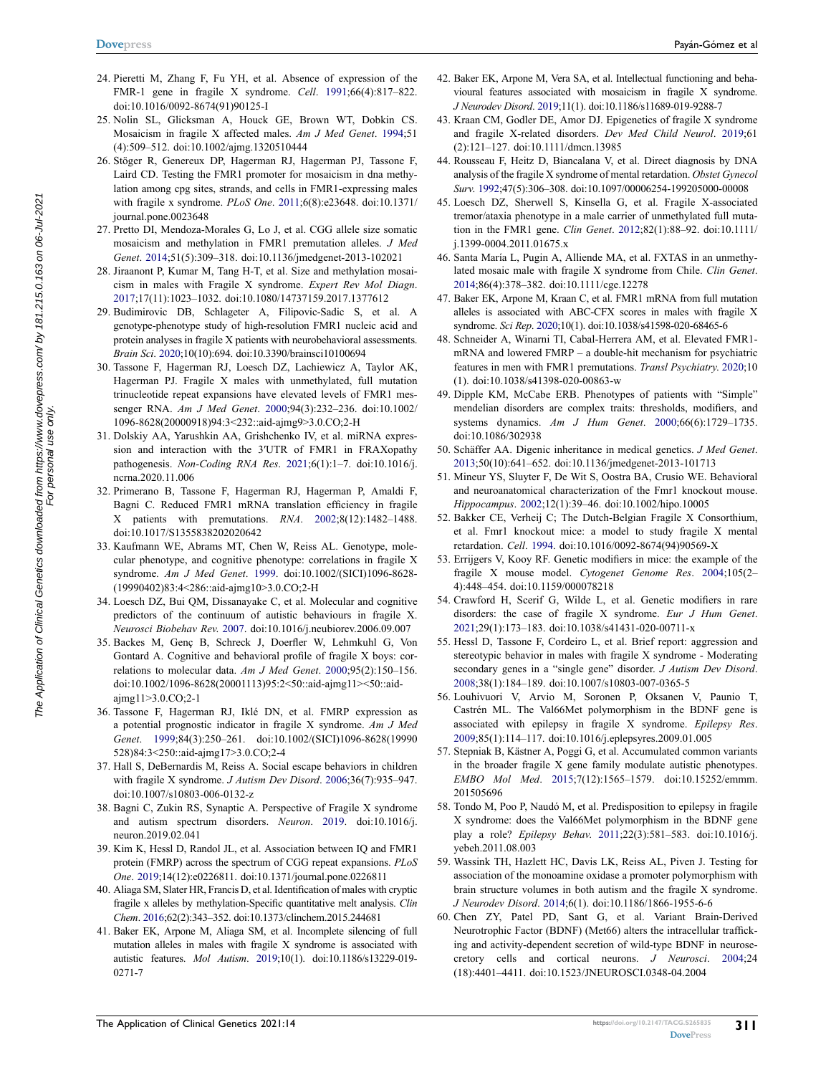- <span id="page-6-0"></span>24. Pieretti M, Zhang F, Fu YH, et al. Absence of expression of the FMR-1 gene in fragile X syndrome. *Cell*. [1991;](#page-1-14)66(4):817–822. doi:[10.1016/0092-8674\(91\)90125-I](https://doi.org/10.1016/0092-8674(91)90125-I)
- <span id="page-6-1"></span>25. Nolin SL, Glicksman A, Houck GE, Brown WT, Dobkin CS. Mosaicism in fragile X affected males. *Am J Med Genet*. [1994](#page-2-0);51 (4):509–512. doi:[10.1002/ajmg.1320510444](https://doi.org/10.1002/ajmg.1320510444)
- <span id="page-6-2"></span>26. Stöger R, Genereux DP, Hagerman RJ, Hagerman PJ, Tassone F, Laird CD. Testing the FMR1 promoter for mosaicism in dna methylation among cpg sites, strands, and cells in FMR1-expressing males with fragile x syndrome. *PLoS One*. [2011](#page-2-1);6(8):e23648. doi:[10.1371/](https://doi.org/10.1371/journal.pone.0023648)  [journal.pone.0023648](https://doi.org/10.1371/journal.pone.0023648)
- <span id="page-6-3"></span>27. Pretto DI, Mendoza-Morales G, Lo J, et al. CGG allele size somatic mosaicism and methylation in FMR1 premutation alleles. *J Med Genet*. [2014](#page-2-2);51(5):309–318. doi:[10.1136/jmedgenet-2013-102021](https://doi.org/10.1136/jmedgenet-2013-102021)
- <span id="page-6-4"></span>28. Jiraanont P, Kumar M, Tang H-T, et al. Size and methylation mosaicism in males with Fragile X syndrome. *Expert Rev Mol Diagn*. [2017;](#page-2-3)17(11):1023–1032. doi:[10.1080/14737159.2017.1377612](https://doi.org/10.1080/14737159.2017.1377612)
- <span id="page-6-5"></span>29. Budimirovic DB, Schlageter A, Filipovic-Sadic S, et al. A genotype-phenotype study of high-resolution FMR1 nucleic acid and protein analyses in fragile X patients with neurobehavioral assessments. *Brain Sci*. [2020;](#page-2-4)10(10):694. doi:[10.3390/brainsci10100694](https://doi.org/10.3390/brainsci10100694)
- <span id="page-6-6"></span>30. Tassone F, Hagerman RJ, Loesch DZ, Lachiewicz A, Taylor AK, Hagerman PJ. Fragile X males with unmethylated, full mutation trinucleotide repeat expansions have elevated levels of FMR1 messenger RNA. *Am J Med Genet*. [2000;](#page-2-5)94(3):232–236. doi:[10.1002/](https://doi.org/10.1002/1096-8628(20000918)94:3%3C232::aid-ajmg9%3E3.0.CO;2-H)  [1096-8628\(20000918\)94:3<232::aid-ajmg9>3.0.CO;2-H](https://doi.org/10.1002/1096-8628(20000918)94:3%3C232::aid-ajmg9%3E3.0.CO;2-H)
- <span id="page-6-7"></span>31. Dolskiy AA, Yarushkin AA, Grishchenko IV, et al. miRNA expression and interaction with the 3′UTR of FMR1 in FRAXopathy pathogenesis. *Non-Coding RNA Res*. [2021](#page-2-6);6(1):1–7. doi:[10.1016/j.](https://doi.org/10.1016/j.ncrna.2020.11.006)  [ncrna.2020.11.006](https://doi.org/10.1016/j.ncrna.2020.11.006)
- <span id="page-6-8"></span>32. Primerano B, Tassone F, Hagerman RJ, Hagerman P, Amaldi F, Bagni C. Reduced FMR1 mRNA translation efficiency in fragile X patients with premutations. *RNA*. [2002;](#page-2-6)8(12):1482–1488. doi:[10.1017/S1355838202020642](https://doi.org/10.1017/S1355838202020642)
- <span id="page-6-9"></span>33. Kaufmann WE, Abrams MT, Chen W, Reiss AL. Genotype, molecular phenotype, and cognitive phenotype: correlations in fragile X syndrome. *Am J Med Genet*. [1999](#page-2-7). doi:[10.1002/\(SICI\)1096-8628-](https://doi.org/10.1002/(SICI)1096-8628(19990402)83:4%3C286::aid-ajmg10%3E3.0.CO;2-H)[\(19990402\)83:4<286::aid-ajmg10>3.0.CO;2-H](https://doi.org/10.1002/(SICI)1096-8628(19990402)83:4%3C286::aid-ajmg10%3E3.0.CO;2-H)
- <span id="page-6-10"></span>34. Loesch DZ, Bui QM, Dissanayake C, et al. Molecular and cognitive predictors of the continuum of autistic behaviours in fragile X. *Neurosci Biobehav Rev*. [2007.](#page-2-4) doi:[10.1016/j.neubiorev.2006.09.007](https://doi.org/10.1016/j.neubiorev.2006.09.007)
- <span id="page-6-11"></span>35. Backes M, Genç B, Schreck J, Doerfler W, Lehmkuhl G, Von Gontard A. Cognitive and behavioral profile of fragile X boys: correlations to molecular data. *Am J Med Genet*. [2000;](#page-2-8)95(2):150–156. doi:[10.1002/1096-8628\(20001113\)95:2<50::aid-ajmg11><50::aid](https://doi.org/10.1002/1096-8628(20001113)95:2%3C50::aid-ajmg11%3E%3C50::aid-ajmg11%3E3.0.CO;2-1)[ajmg11>3.0.CO;2-1](https://doi.org/10.1002/1096-8628(20001113)95:2%3C50::aid-ajmg11%3E%3C50::aid-ajmg11%3E3.0.CO;2-1)
- <span id="page-6-12"></span>36. Tassone F, Hagerman RJ, Iklé DN, et al. FMRP expression as a potential prognostic indicator in fragile X syndrome. *Am J Med Genet*. [1999](#page-2-8);84(3):250–261. doi:[10.1002/\(SICI\)1096-8628\(19990](https://doi.org/10.1002/(SICI)1096-8628(19990528)84:3%3C250::aid-ajmg17%3E3.0.CO;2-4)  [528\)84:3<250::aid-ajmg17>3.0.CO;2-4](https://doi.org/10.1002/(SICI)1096-8628(19990528)84:3%3C250::aid-ajmg17%3E3.0.CO;2-4)
- <span id="page-6-13"></span>37. Hall S, DeBernardis M, Reiss A. Social escape behaviors in children with fragile X syndrome. *J Autism Dev Disord*. [2006;](#page-2-9)36(7):935–947. doi:[10.1007/s10803-006-0132-z](https://doi.org/10.1007/s10803-006-0132-z)
- <span id="page-6-14"></span>38. Bagni C, Zukin RS, Synaptic A. Perspective of Fragile X syndrome and autism spectrum disorders. *Neuron*. [2019.](#page-2-10) doi:[10.1016/j.](https://doi.org/10.1016/j.neuron.2019.02.041)  [neuron.2019.02.041](https://doi.org/10.1016/j.neuron.2019.02.041)
- <span id="page-6-15"></span>39. Kim K, Hessl D, Randol JL, et al. Association between IQ and FMR1 protein (FMRP) across the spectrum of CGG repeat expansions. *PLoS One*. [2019](#page-2-11);14(12):e0226811. doi:[10.1371/journal.pone.0226811](https://doi.org/10.1371/journal.pone.0226811)
- <span id="page-6-16"></span>40. Aliaga SM, Slater HR, Francis D, et al. Identification of males with cryptic fragile x alleles by methylation-Specific quantitative melt analysis. *Clin Chem*. [2016;](#page-2-12)62(2):343–352. doi:[10.1373/clinchem.2015.244681](https://doi.org/10.1373/clinchem.2015.244681)
- <span id="page-6-22"></span>41. Baker EK, Arpone M, Aliaga SM, et al. Incomplete silencing of full mutation alleles in males with fragile X syndrome is associated with autistic features. *Mol Autism*. [2019](#page-3-1);10(1). doi:[10.1186/s13229-019-](https://doi.org/10.1186/s13229-019-0271-7)  [0271-7](https://doi.org/10.1186/s13229-019-0271-7)
- <span id="page-6-18"></span>42. Baker EK, Arpone M, Vera SA, et al. Intellectual functioning and behavioural features associated with mosaicism in fragile X syndrome. *J Neurodev Disord*. [2019;](#page-2-13)11(1). doi:[10.1186/s11689-019-9288-7](https://doi.org/10.1186/s11689-019-9288-7)
- <span id="page-6-17"></span>43. Kraan CM, Godler DE, Amor DJ. Epigenetics of fragile X syndrome and fragile X-related disorders. *Dev Med Child Neurol*. [2019](#page-2-14);61 (2):121–127. doi:[10.1111/dmcn.13985](https://doi.org/10.1111/dmcn.13985)
- <span id="page-6-19"></span>44. Rousseau F, Heitz D, Biancalana V, et al. Direct diagnosis by DNA analysis of the fragile X syndrome of mental retardation. *Obstet Gynecol Surv*. [1992](#page-3-2);47(5):306–308. doi:[10.1097/00006254-199205000-00008](https://doi.org/10.1097/00006254-199205000-00008)
- <span id="page-6-20"></span>45. Loesch DZ, Sherwell S, Kinsella G, et al. Fragile X-associated tremor/ataxia phenotype in a male carrier of unmethylated full mutation in the FMR1 gene. *Clin Genet*. [2012;](#page-3-3)82(1):88–92. doi:[10.1111/](https://doi.org/10.1111/j.1399-0004.2011.01675.x) [j.1399-0004.2011.01675.x](https://doi.org/10.1111/j.1399-0004.2011.01675.x)
- <span id="page-6-21"></span>46. Santa María L, Pugin A, Alliende MA, et al. FXTAS in an unmethylated mosaic male with fragile X syndrome from Chile. *Clin Genet*. [2014](#page-3-3);86(4):378–382. doi:[10.1111/cge.12278](https://doi.org/10.1111/cge.12278)
- <span id="page-6-23"></span>47. Baker EK, Arpone M, Kraan C, et al. FMR1 mRNA from full mutation alleles is associated with ABC-CFX scores in males with fragile X syndrome. *Sci Rep*. [2020;](#page-3-4)10(1). doi:[10.1038/s41598-020-68465-6](https://doi.org/10.1038/s41598-020-68465-6)
- <span id="page-6-24"></span>48. Schneider A, Winarni TI, Cabal-Herrera AM, et al. Elevated FMR1 mRNA and lowered FMRP – a double-hit mechanism for psychiatric features in men with FMR1 premutations. *Transl Psychiatry*. [2020](#page-3-5);10 (1). doi:[10.1038/s41398-020-00863-w](https://doi.org/10.1038/s41398-020-00863-w)
- <span id="page-6-25"></span>49. Dipple KM, McCabe ERB. Phenotypes of patients with "Simple" mendelian disorders are complex traits: thresholds, modifiers, and systems dynamics. *Am J Hum Genet*. [2000;](#page-3-6)66(6):1729–1735. doi:[10.1086/302938](https://doi.org/10.1086/302938)
- <span id="page-6-26"></span>50. Schäffer AA. Digenic inheritance in medical genetics. *J Med Genet*. [2013](#page-3-6);50(10):641–652. doi:[10.1136/jmedgenet-2013-101713](https://doi.org/10.1136/jmedgenet-2013-101713)
- <span id="page-6-27"></span>51. Mineur YS, Sluyter F, De Wit S, Oostra BA, Crusio WE. Behavioral and neuroanatomical characterization of the Fmr1 knockout mouse. *Hippocampus*. [2002;](#page-3-7)12(1):39–46. doi:[10.1002/hipo.10005](https://doi.org/10.1002/hipo.10005)
- <span id="page-6-28"></span>52. Bakker CE, Verheij C; The Dutch-Belgian Fragile X Consorthium, et al. Fmr1 knockout mice: a model to study fragile X mental retardation. *Cell*. [1994.](#page-3-7) doi:[10.1016/0092-8674\(94\)90569-X](https://doi.org/10.1016/0092-8674(94)90569-X)
- <span id="page-6-29"></span>53. Errijgers V, Kooy RF. Genetic modifiers in mice: the example of the fragile X mouse model. *Cytogenet Genome Res*. [2004;](#page-4-0)105(2– 4):448–454. doi:[10.1159/000078218](https://doi.org/10.1159/000078218)
- <span id="page-6-30"></span>54. Crawford H, Scerif G, Wilde L, et al. Genetic modifiers in rare disorders: the case of fragile X syndrome. *Eur J Hum Genet*. [2021](#page-4-1);29(1):173–183. doi:[10.1038/s41431-020-00711-x](https://doi.org/10.1038/s41431-020-00711-x)
- <span id="page-6-34"></span>55. Hessl D, Tassone F, Cordeiro L, et al. Brief report: aggression and stereotypic behavior in males with fragile X syndrome - Moderating secondary genes in a "single gene" disorder. *J Autism Dev Disord*. [2008](#page-4-2);38(1):184–189. doi:[10.1007/s10803-007-0365-5](https://doi.org/10.1007/s10803-007-0365-5)
- <span id="page-6-32"></span>56. Louhivuori V, Arvio M, Soronen P, Oksanen V, Paunio T, Castrén ML. The Val66Met polymorphism in the BDNF gene is associated with epilepsy in fragile X syndrome. *Epilepsy Res*. [2009](#page-4-3);85(1):114–117. doi:[10.1016/j.eplepsyres.2009.01.005](https://doi.org/10.1016/j.eplepsyres.2009.01.005)
- 57. Stepniak B, Kästner A, Poggi G, et al. Accumulated common variants in the broader fragile X gene family modulate autistic phenotypes. *EMBO Mol Med*. 2015;7(12):1565–1579. doi:[10.15252/emmm.](https://doi.org/10.15252/emmm.201505696) [201505696](https://doi.org/10.15252/emmm.201505696)
- <span id="page-6-33"></span>58. Tondo M, Poo P, Naudó M, et al. Predisposition to epilepsy in fragile X syndrome: does the Val66Met polymorphism in the BDNF gene play a role? *Epilepsy Behav*. [2011;](#page-4-4)22(3):581–583. doi:[10.1016/j.](https://doi.org/10.1016/j.yebeh.2011.08.003) [yebeh.2011.08.003](https://doi.org/10.1016/j.yebeh.2011.08.003)
- 59. Wassink TH, Hazlett HC, Davis LK, Reiss AL, Piven J. Testing for association of the monoamine oxidase a promoter polymorphism with brain structure volumes in both autism and the fragile X syndrome. *J Neurodev Disord*. 2014;6(1). doi:[10.1186/1866-1955-6-6](https://doi.org/10.1186/1866-1955-6-6)
- <span id="page-6-31"></span>60. Chen ZY, Patel PD, Sant G, et al. Variant Brain-Derived Neurotrophic Factor (BDNF) (Met66) alters the intracellular trafficking and activity-dependent secretion of wild-type BDNF in neurosecretory cells and cortical neurons. *J Neurosci*. [2004](#page-4-5);24 (18):4401–4411. doi:[10.1523/JNEUROSCI.0348-04.2004](https://doi.org/10.1523/JNEUROSCI.0348-04.2004)